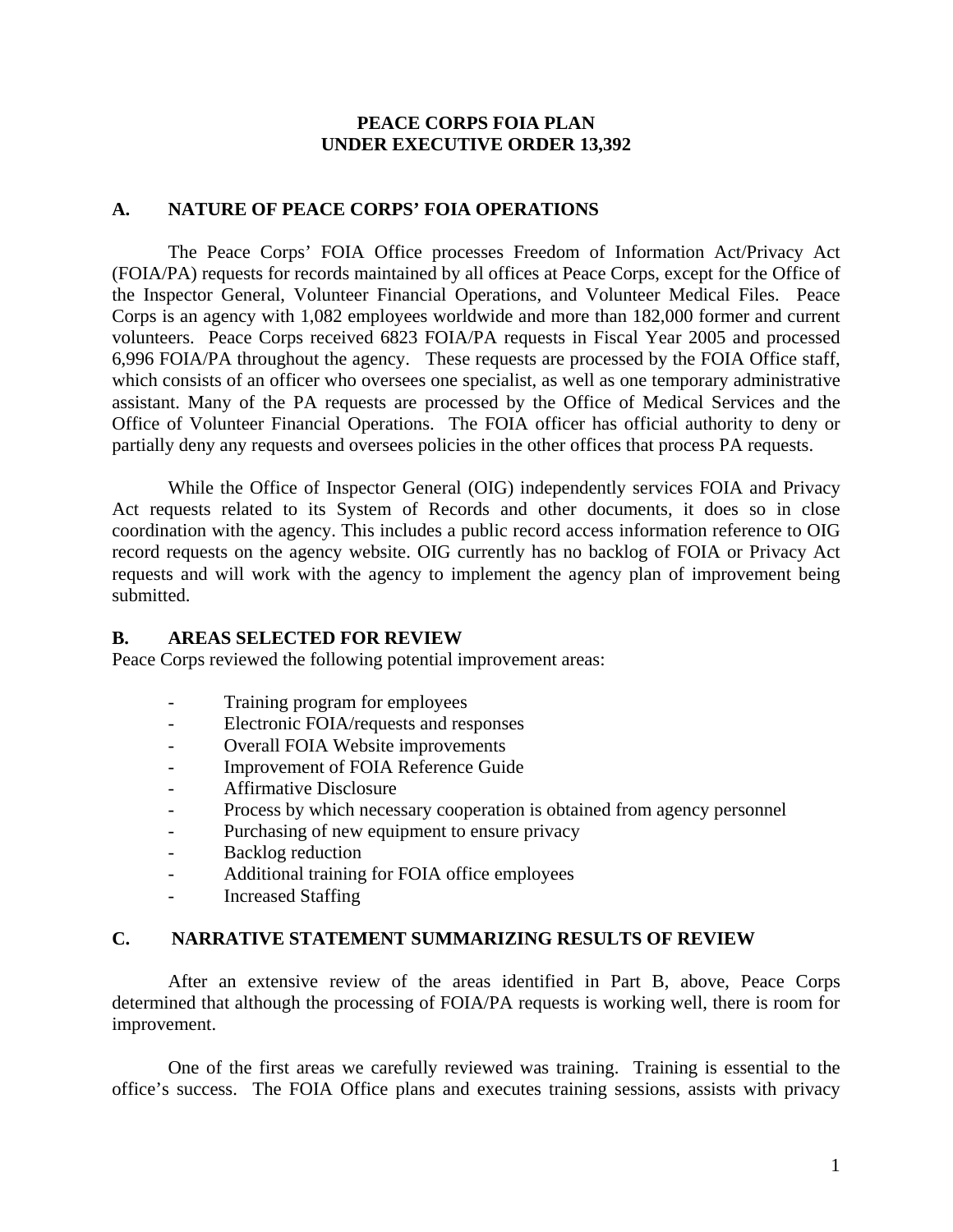#### **PEACE CORPS FOIA PLAN UNDER EXECUTIVE ORDER 13,392**

#### **A. NATURE OF PEACE CORPS' FOIA OPERATIONS**

The Peace Corps' FOIA Office processes Freedom of Information Act/Privacy Act (FOIA/PA) requests for records maintained by all offices at Peace Corps, except for the Office of the Inspector General, Volunteer Financial Operations, and Volunteer Medical Files. Peace Corps is an agency with 1,082 employees worldwide and more than 182,000 former and current volunteers. Peace Corps received 6823 FOIA/PA requests in Fiscal Year 2005 and processed 6,996 FOIA/PA throughout the agency. These requests are processed by the FOIA Office staff, which consists of an officer who oversees one specialist, as well as one temporary administrative assistant. Many of the PA requests are processed by the Office of Medical Services and the Office of Volunteer Financial Operations. The FOIA officer has official authority to deny or partially deny any requests and oversees policies in the other offices that process PA requests.

While the Office of Inspector General (OIG) independently services FOIA and Privacy Act requests related to its System of Records and other documents, it does so in close coordination with the agency. This includes a public record access information reference to OIG record requests on the agency website. OIG currently has no backlog of FOIA or Privacy Act requests and will work with the agency to implement the agency plan of improvement being submitted.

#### **B. AREAS SELECTED FOR REVIEW**

Peace Corps reviewed the following potential improvement areas:

- Training program for employees
- Electronic FOIA/requests and responses
- Overall FOIA Website improvements
- Improvement of FOIA Reference Guide
- Affirmative Disclosure
- Process by which necessary cooperation is obtained from agency personnel
- Purchasing of new equipment to ensure privacy
- Backlog reduction
- Additional training for FOIA office employees
- Increased Staffing

#### **C. NARRATIVE STATEMENT SUMMARIZING RESULTS OF REVIEW**

After an extensive review of the areas identified in Part B, above, Peace Corps determined that although the processing of FOIA/PA requests is working well, there is room for improvement.

One of the first areas we carefully reviewed was training. Training is essential to the office's success. The FOIA Office plans and executes training sessions, assists with privacy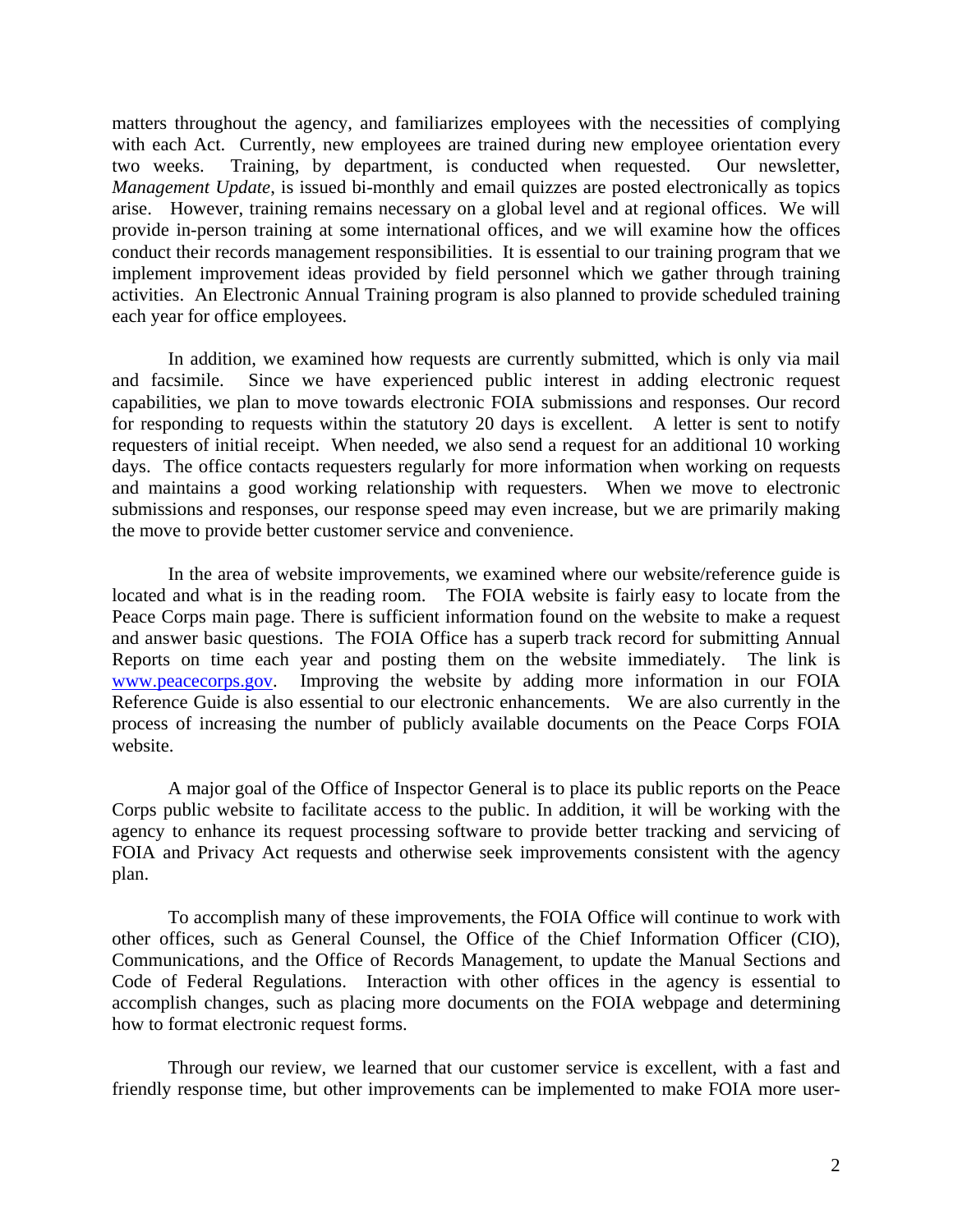matters throughout the agency, and familiarizes employees with the necessities of complying with each Act. Currently, new employees are trained during new employee orientation every two weeks. Training, by department, is conducted when requested. Our newsletter, *Management Update*, is issued bi-monthly and email quizzes are posted electronically as topics arise. However, training remains necessary on a global level and at regional offices. We will provide in-person training at some international offices, and we will examine how the offices conduct their records management responsibilities. It is essential to our training program that we implement improvement ideas provided by field personnel which we gather through training activities. An Electronic Annual Training program is also planned to provide scheduled training each year for office employees.

In addition, we examined how requests are currently submitted, which is only via mail and facsimile. Since we have experienced public interest in adding electronic request capabilities, we plan to move towards electronic FOIA submissions and responses. Our record for responding to requests within the statutory 20 days is excellent. A letter is sent to notify requesters of initial receipt. When needed, we also send a request for an additional 10 working days. The office contacts requesters regularly for more information when working on requests and maintains a good working relationship with requesters. When we move to electronic submissions and responses, our response speed may even increase, but we are primarily making the move to provide better customer service and convenience.

In the area of website improvements, we examined where our website/reference guide is located and what is in the reading room. The FOIA website is fairly easy to locate from the Peace Corps main page. There is sufficient information found on the website to make a request and answer basic questions. The FOIA Office has a superb track record for submitting Annual Reports on time each year and posting them on the website immediately. The link is www.peacecorps.gov. Improving the website by adding more information in our FOIA Reference Guide is also essential to our electronic enhancements. We are also currently in the process of increasing the number of publicly available documents on the Peace Corps FOIA website.

A major goal of the Office of Inspector General is to place its public reports on the Peace Corps public website to facilitate access to the public. In addition, it will be working with the agency to enhance its request processing software to provide better tracking and servicing of FOIA and Privacy Act requests and otherwise seek improvements consistent with the agency plan.

To accomplish many of these improvements, the FOIA Office will continue to work with other offices, such as General Counsel, the Office of the Chief Information Officer (CIO), Communications, and the Office of Records Management, to update the Manual Sections and Code of Federal Regulations. Interaction with other offices in the agency is essential to accomplish changes, such as placing more documents on the FOIA webpage and determining how to format electronic request forms.

Through our review, we learned that our customer service is excellent, with a fast and friendly response time, but other improvements can be implemented to make FOIA more user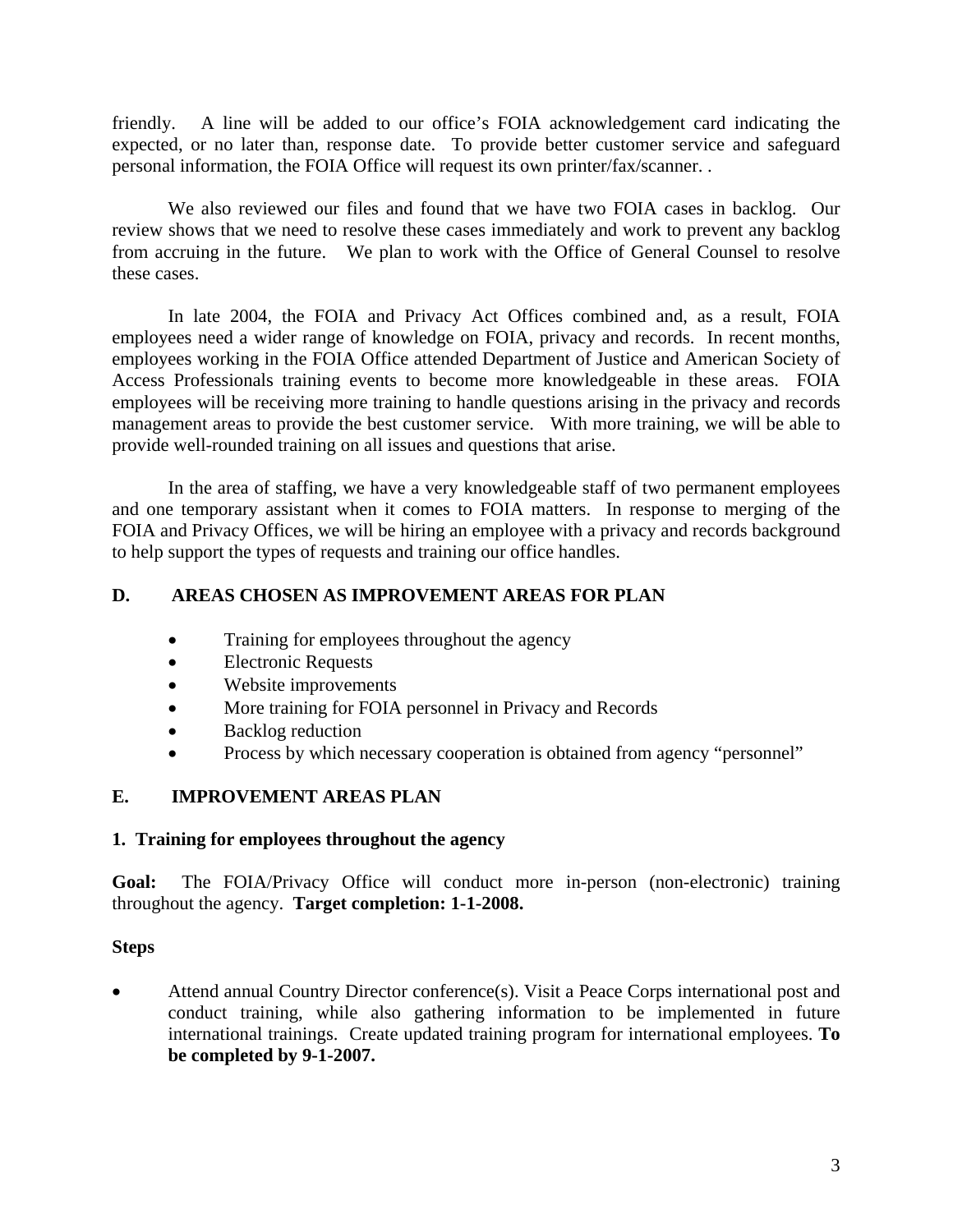friendly. A line will be added to our office's FOIA acknowledgement card indicating the expected, or no later than, response date. To provide better customer service and safeguard personal information, the FOIA Office will request its own printer/fax/scanner. .

We also reviewed our files and found that we have two FOIA cases in backlog. Our review shows that we need to resolve these cases immediately and work to prevent any backlog from accruing in the future. We plan to work with the Office of General Counsel to resolve these cases.

In late 2004, the FOIA and Privacy Act Offices combined and, as a result, FOIA employees need a wider range of knowledge on FOIA, privacy and records. In recent months, employees working in the FOIA Office attended Department of Justice and American Society of Access Professionals training events to become more knowledgeable in these areas. FOIA employees will be receiving more training to handle questions arising in the privacy and records management areas to provide the best customer service. With more training, we will be able to provide well-rounded training on all issues and questions that arise.

In the area of staffing, we have a very knowledgeable staff of two permanent employees and one temporary assistant when it comes to FOIA matters. In response to merging of the FOIA and Privacy Offices, we will be hiring an employee with a privacy and records background to help support the types of requests and training our office handles.

## **D. AREAS CHOSEN AS IMPROVEMENT AREAS FOR PLAN**

- Training for employees throughout the agency
- Electronic Requests
- Website improvements
- More training for FOIA personnel in Privacy and Records
- Backlog reduction
- Process by which necessary cooperation is obtained from agency "personnel"

# **E. IMPROVEMENT AREAS PLAN**

### **1. Training for employees throughout the agency**

**Goal:** The FOIA/Privacy Office will conduct more in-person (non-electronic) training throughout the agency. **Target completion: 1-1-2008.** 

### **Steps**

• Attend annual Country Director conference(s). Visit a Peace Corps international post and conduct training, while also gathering information to be implemented in future international trainings. Create updated training program for international employees. **To be completed by 9-1-2007.**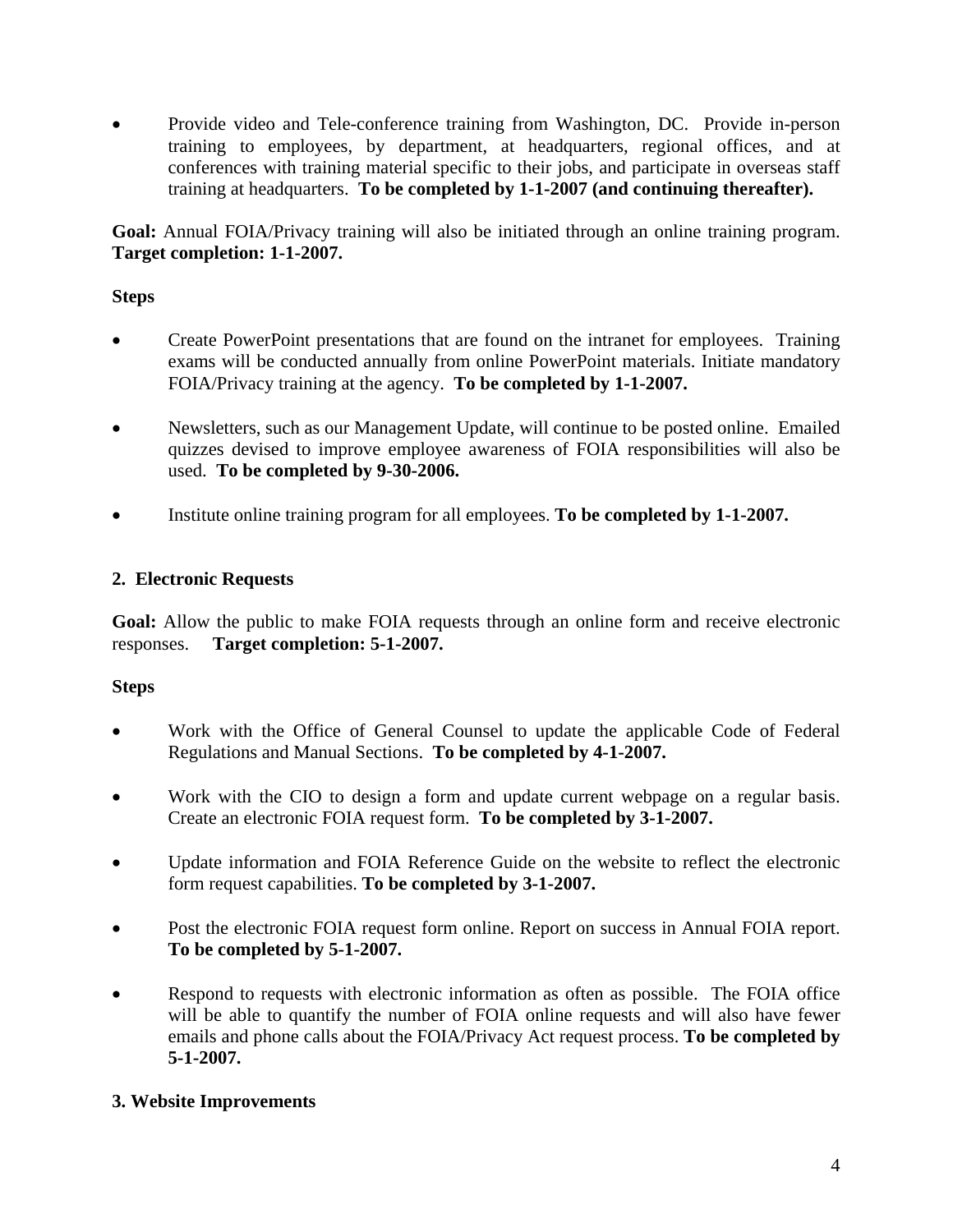• Provide video and Tele-conference training from Washington, DC. Provide in-person training to employees, by department, at headquarters, regional offices, and at conferences with training material specific to their jobs, and participate in overseas staff training at headquarters. **To be completed by 1-1-2007 (and continuing thereafter).**

**Goal:** Annual FOIA/Privacy training will also be initiated through an online training program. **Target completion: 1-1-2007.**

## **Steps**

- Create PowerPoint presentations that are found on the intranet for employees. Training exams will be conducted annually from online PowerPoint materials. Initiate mandatory FOIA/Privacy training at the agency. **To be completed by 1-1-2007.**
- Newsletters, such as our Management Update, will continue to be posted online. Emailed quizzes devised to improve employee awareness of FOIA responsibilities will also be used. **To be completed by 9-30-2006.**
- Institute online training program for all employees. **To be completed by 1-1-2007.**

## **2. Electronic Requests**

**Goal:** Allow the public to make FOIA requests through an online form and receive electronic responses. **Target completion: 5-1-2007.**

### **Steps**

- Work with the Office of General Counsel to update the applicable Code of Federal Regulations and Manual Sections. **To be completed by 4-1-2007.**
- Work with the CIO to design a form and update current webpage on a regular basis. Create an electronic FOIA request form. **To be completed by 3-1-2007.**
- Update information and FOIA Reference Guide on the website to reflect the electronic form request capabilities. **To be completed by 3-1-2007.**
- Post the electronic FOIA request form online. Report on success in Annual FOIA report. **To be completed by 5-1-2007.**
- Respond to requests with electronic information as often as possible. The FOIA office will be able to quantify the number of FOIA online requests and will also have fewer emails and phone calls about the FOIA/Privacy Act request process. **To be completed by 5-1-2007.**

# **3. Website Improvements**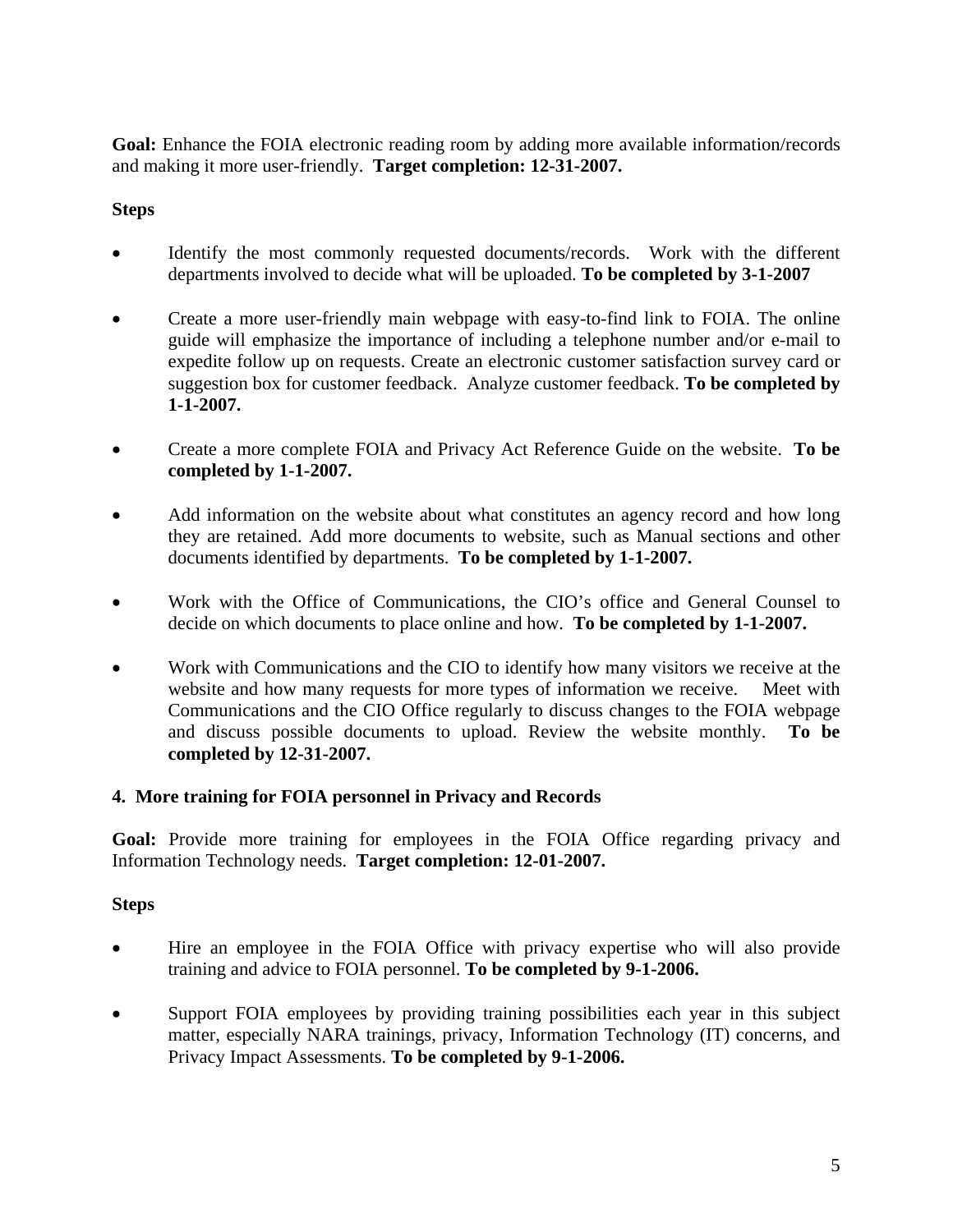Goal: Enhance the FOIA electronic reading room by adding more available information/records and making it more user-friendly. **Target completion: 12-31-2007.**

## **Steps**

- Identify the most commonly requested documents/records. Work with the different departments involved to decide what will be uploaded. **To be completed by 3-1-2007**
- Create a more user-friendly main webpage with easy-to-find link to FOIA. The online guide will emphasize the importance of including a telephone number and/or e-mail to expedite follow up on requests. Create an electronic customer satisfaction survey card or suggestion box for customer feedback. Analyze customer feedback. **To be completed by 1-1-2007.**
- Create a more complete FOIA and Privacy Act Reference Guide on the website. **To be completed by 1-1-2007.**
- Add information on the website about what constitutes an agency record and how long they are retained. Add more documents to website, such as Manual sections and other documents identified by departments. **To be completed by 1-1-2007.**
- Work with the Office of Communications, the CIO's office and General Counsel to decide on which documents to place online and how. **To be completed by 1-1-2007.**
- Work with Communications and the CIO to identify how many visitors we receive at the website and how many requests for more types of information we receive. Meet with Communications and the CIO Office regularly to discuss changes to the FOIA webpage and discuss possible documents to upload. Review the website monthly. **To be completed by 12-31-2007.**

### **4. More training for FOIA personnel in Privacy and Records**

Goal: Provide more training for employees in the FOIA Office regarding privacy and Information Technology needs. **Target completion: 12-01-2007.**

# **Steps**

- Hire an employee in the FOIA Office with privacy expertise who will also provide training and advice to FOIA personnel. **To be completed by 9-1-2006.**
- Support FOIA employees by providing training possibilities each year in this subject matter, especially NARA trainings, privacy, Information Technology (IT) concerns, and Privacy Impact Assessments. **To be completed by 9-1-2006.**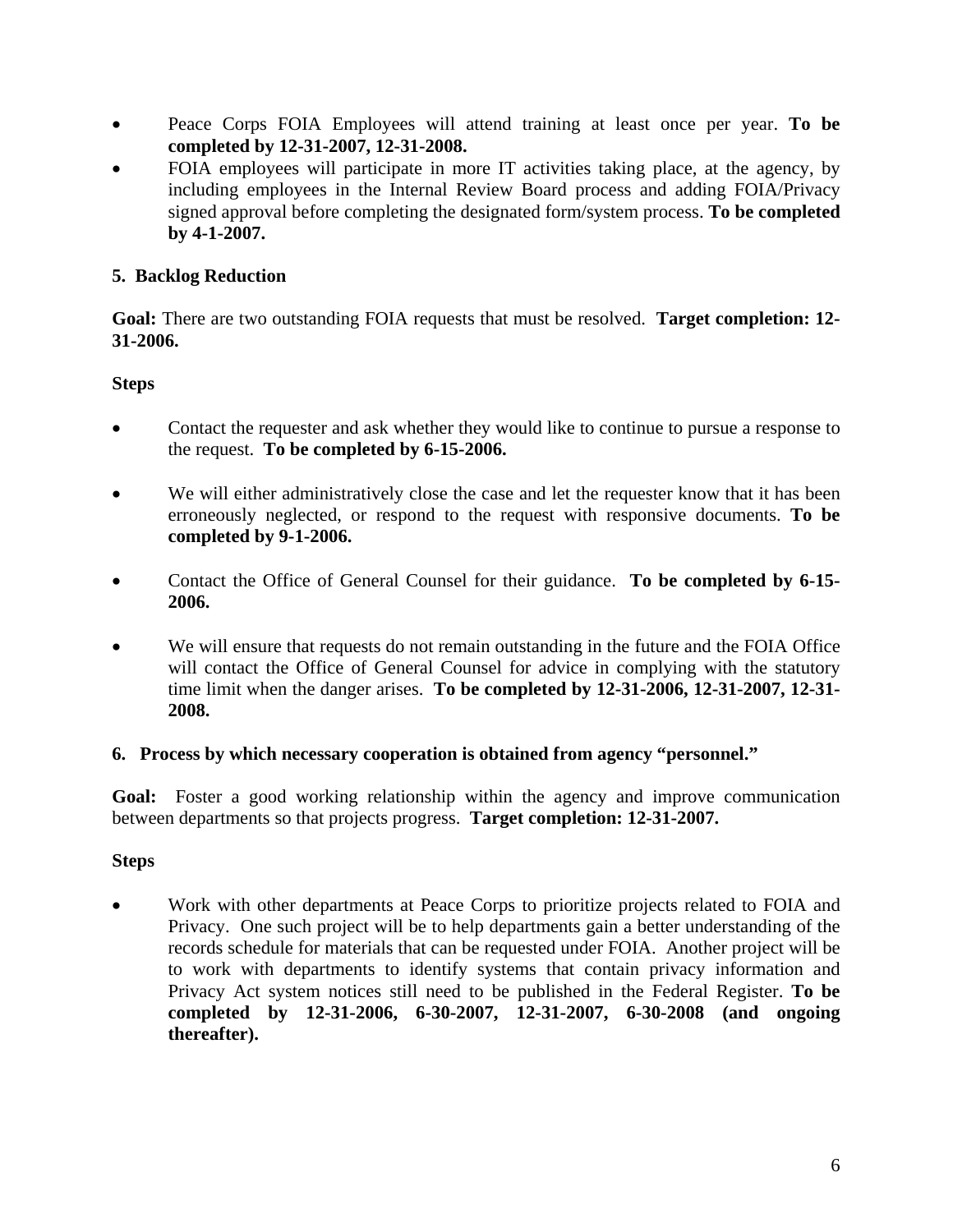- Peace Corps FOIA Employees will attend training at least once per year. **To be completed by 12-31-2007, 12-31-2008.**
- FOIA employees will participate in more IT activities taking place, at the agency, by including employees in the Internal Review Board process and adding FOIA/Privacy signed approval before completing the designated form/system process. **To be completed by 4-1-2007.**

## **5. Backlog Reduction**

**Goal:** There are two outstanding FOIA requests that must be resolved. **Target completion: 12- 31-2006.**

## **Steps**

- Contact the requester and ask whether they would like to continue to pursue a response to the request. **To be completed by 6-15-2006.**
- We will either administratively close the case and let the requester know that it has been erroneously neglected, or respond to the request with responsive documents. **To be completed by 9-1-2006.**
- Contact the Office of General Counsel for their guidance. **To be completed by 6-15- 2006.**
- We will ensure that requests do not remain outstanding in the future and the FOIA Office will contact the Office of General Counsel for advice in complying with the statutory time limit when the danger arises. **To be completed by 12-31-2006, 12-31-2007, 12-31- 2008.**

### **6. Process by which necessary cooperation is obtained from agency "personnel."**

Goal: Foster a good working relationship within the agency and improve communication between departments so that projects progress. **Target completion: 12-31-2007.**

### **Steps**

• Work with other departments at Peace Corps to prioritize projects related to FOIA and Privacy. One such project will be to help departments gain a better understanding of the records schedule for materials that can be requested under FOIA. Another project will be to work with departments to identify systems that contain privacy information and Privacy Act system notices still need to be published in the Federal Register. **To be completed by 12-31-2006, 6-30-2007, 12-31-2007, 6-30-2008 (and ongoing thereafter).**